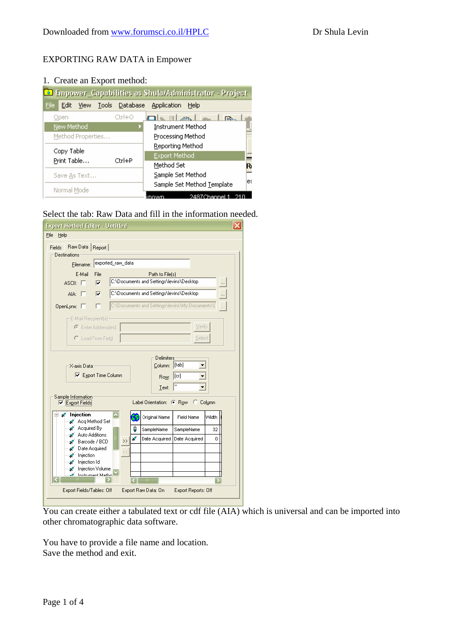#### EXPORTING RAW DATA in Empower

| 1. Create an Export method:                           |            |                                         |     |  |  |  |  |  |  |
|-------------------------------------------------------|------------|-----------------------------------------|-----|--|--|--|--|--|--|
| Enpower_Capabilities as Shula/Administrator - Project |            |                                         |     |  |  |  |  |  |  |
| File<br>Edit                                          |            | View Tools Database Application<br>Help |     |  |  |  |  |  |  |
| Open                                                  | $Ctrl + O$ | ale Rland<br><b>IEV</b>                 |     |  |  |  |  |  |  |
| New Method                                            |            | Instrument Method                       |     |  |  |  |  |  |  |
| Method Properties                                     |            | Processing Method                       |     |  |  |  |  |  |  |
| Copy Table                                            |            | Reporting Method                        |     |  |  |  |  |  |  |
| Print Table                                           | Ctrl+P     | <b>Export Method</b>                    |     |  |  |  |  |  |  |
|                                                       |            | Method Set                              | R   |  |  |  |  |  |  |
| Save As Text                                          |            | Sample Set Method                       | les |  |  |  |  |  |  |
| Normal Mode                                           |            | Sample Set Method Template              |     |  |  |  |  |  |  |
|                                                       |            | 2487Channel                             |     |  |  |  |  |  |  |

Select the tab: Raw Data and fill in the information needed.

| Raw Data<br>Report<br>Fields<br>Destinations<br>exported_raw_data<br>Filename:<br>E-Mail<br><b>File</b><br>Path to File(s)<br>C:\Documents and Settings\levins\Desktop<br>$\overline{\mathbf{v}}$<br>ASCII: $\Box$<br>C:\Documents and Settings\levins\Desktop<br>AIA: I<br>⊽<br>C:\Documents and Settings\levins\My Documents\C<br>OpenLynx: $\Box$<br>- E-Mail Recipient(s)-<br>C Enter Addressfest:<br>Verify<br>C Load From Field:<br>Select<br><b>Delimiters</b><br>Column: [tab]<br>X-axis Data<br><b>▽</b> Export Time Column<br>$ [c_1]$<br>Row:<br>п<br>Text:<br>Sample Information<br>Label Orientation: C Row C Column<br>Export Fields<br>Injection<br><b>Field Name</b><br>Width<br>Original Name<br>√ Acq Method Set<br>Acquired By<br>L.<br>ñ<br>SampleName<br>SampleName<br>32<br>Auto Additions<br>$\mathscr{L}$<br>ℐ<br>Date Acquired<br>Date Acquired<br>0<br>$\rightarrow$<br>Barcode / BCD<br>Date Acquired<br>s<br>njection<br>Injection Id<br>L.<br>Injection Volume<br>s<br>A Instrument Metho<br>$\mathbf{m}$ | <b>Export Method Editor - Untitled</b><br>File<br>Help |  |  |  |  |
|----------------------------------------------------------------------------------------------------------------------------------------------------------------------------------------------------------------------------------------------------------------------------------------------------------------------------------------------------------------------------------------------------------------------------------------------------------------------------------------------------------------------------------------------------------------------------------------------------------------------------------------------------------------------------------------------------------------------------------------------------------------------------------------------------------------------------------------------------------------------------------------------------------------------------------------------------------------------------------------------------------------------------------------|--------------------------------------------------------|--|--|--|--|
|                                                                                                                                                                                                                                                                                                                                                                                                                                                                                                                                                                                                                                                                                                                                                                                                                                                                                                                                                                                                                                        |                                                        |  |  |  |  |
|                                                                                                                                                                                                                                                                                                                                                                                                                                                                                                                                                                                                                                                                                                                                                                                                                                                                                                                                                                                                                                        |                                                        |  |  |  |  |
|                                                                                                                                                                                                                                                                                                                                                                                                                                                                                                                                                                                                                                                                                                                                                                                                                                                                                                                                                                                                                                        |                                                        |  |  |  |  |
|                                                                                                                                                                                                                                                                                                                                                                                                                                                                                                                                                                                                                                                                                                                                                                                                                                                                                                                                                                                                                                        |                                                        |  |  |  |  |
|                                                                                                                                                                                                                                                                                                                                                                                                                                                                                                                                                                                                                                                                                                                                                                                                                                                                                                                                                                                                                                        |                                                        |  |  |  |  |
|                                                                                                                                                                                                                                                                                                                                                                                                                                                                                                                                                                                                                                                                                                                                                                                                                                                                                                                                                                                                                                        |                                                        |  |  |  |  |
|                                                                                                                                                                                                                                                                                                                                                                                                                                                                                                                                                                                                                                                                                                                                                                                                                                                                                                                                                                                                                                        |                                                        |  |  |  |  |
|                                                                                                                                                                                                                                                                                                                                                                                                                                                                                                                                                                                                                                                                                                                                                                                                                                                                                                                                                                                                                                        |                                                        |  |  |  |  |
|                                                                                                                                                                                                                                                                                                                                                                                                                                                                                                                                                                                                                                                                                                                                                                                                                                                                                                                                                                                                                                        |                                                        |  |  |  |  |
|                                                                                                                                                                                                                                                                                                                                                                                                                                                                                                                                                                                                                                                                                                                                                                                                                                                                                                                                                                                                                                        |                                                        |  |  |  |  |
|                                                                                                                                                                                                                                                                                                                                                                                                                                                                                                                                                                                                                                                                                                                                                                                                                                                                                                                                                                                                                                        |                                                        |  |  |  |  |
|                                                                                                                                                                                                                                                                                                                                                                                                                                                                                                                                                                                                                                                                                                                                                                                                                                                                                                                                                                                                                                        |                                                        |  |  |  |  |
|                                                                                                                                                                                                                                                                                                                                                                                                                                                                                                                                                                                                                                                                                                                                                                                                                                                                                                                                                                                                                                        |                                                        |  |  |  |  |
|                                                                                                                                                                                                                                                                                                                                                                                                                                                                                                                                                                                                                                                                                                                                                                                                                                                                                                                                                                                                                                        |                                                        |  |  |  |  |
|                                                                                                                                                                                                                                                                                                                                                                                                                                                                                                                                                                                                                                                                                                                                                                                                                                                                                                                                                                                                                                        |                                                        |  |  |  |  |
| Export Fields/Tables: Off<br>Export Raw Data: On<br>Export Reports: Off                                                                                                                                                                                                                                                                                                                                                                                                                                                                                                                                                                                                                                                                                                                                                                                                                                                                                                                                                                |                                                        |  |  |  |  |

You can create either a tabulated text or cdf file (AIA) which is universal and can be imported into other chromatographic data software.

You have to provide a file name and location. Save the method and exit.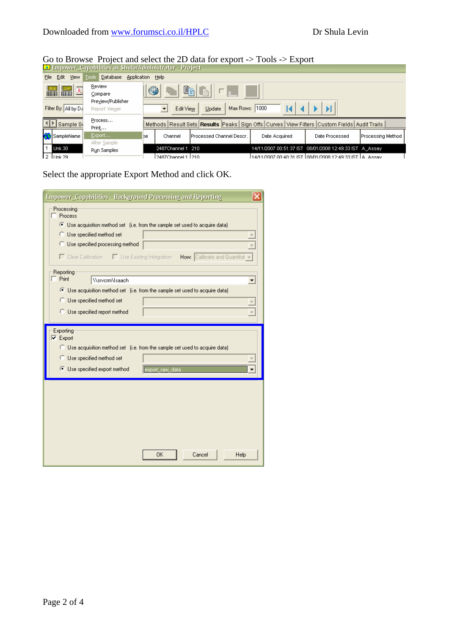# Go to Browse Project and select the 2D data for export -> Tools -> Export

| Empower_Capabilities as Shula/Administrator - Project   |                                    |    |                       |                                                                                            |                                                         |                |                           |  |  |  |
|---------------------------------------------------------|------------------------------------|----|-----------------------|--------------------------------------------------------------------------------------------|---------------------------------------------------------|----------------|---------------------------|--|--|--|
| Tools Database Application Help<br>Edit<br>View<br>File |                                    |    |                       |                                                                                            |                                                         |                |                           |  |  |  |
| mm<br><u>₩</u> ₩                                        | Review<br>Compare                  | 4  |                       | BGIFI                                                                                      |                                                         |                |                           |  |  |  |
| Filter By: All by Da                                    | Preview/Publisher<br>Report Viewer |    | Edit View             | Max Rows: 1000<br>Update                                                                   |                                                         |                |                           |  |  |  |
| Sample St                                               | Process<br>Print                   |    |                       | Methods Result Sets Results Peaks Sign Offs Curves View Filters Custom Fields Audit Trails |                                                         |                |                           |  |  |  |
| SampleName                                              | Export<br>Alter Sample             | be | Channel               | Processed Channel Descr.                                                                   | Date Acquired                                           | Date Processed | <b>IProcessing Method</b> |  |  |  |
| Unk.30                                                  | Run Samples                        |    | 2487Channel 1 210     |                                                                                            | 14/11/2007 00:51:37 IST 08/01/2008 12:49:33 IST A_Assay |                |                           |  |  |  |
| 12 II lnk 29                                            |                                    |    | l 2487Channel 1   210 |                                                                                            |                                                         |                |                           |  |  |  |

### Select the appropriate Export Method and click OK.

| Empower_Capabilities - Background Processing and Reporting                                                                                                                                                                                               |
|----------------------------------------------------------------------------------------------------------------------------------------------------------------------------------------------------------------------------------------------------------|
| Processing<br>Process<br>⊙ Use acquisition method set (i.e. from the sample set used to acquire data)<br>Use specified method set<br>◯ Use specified processing method<br>□ Clear Calibration □ Use Existing Integration<br>How: Calibrate and Quantitat |
| Reporting<br>Print<br><b>WarvermMsaach</b><br>C Use acquisition method set (i.e. from the sample set used to acquire data)<br><b>C</b> Use specified method set<br>Use specified report method                                                           |
| Exporting<br>$\nabla$ Export<br>C Use acquisition method set (i.e. from the sample set used to acquire data)<br>C Use specified method set<br>Use specified export method<br>export raw data                                                             |
| <b>OK</b><br>Cancel<br>Help                                                                                                                                                                                                                              |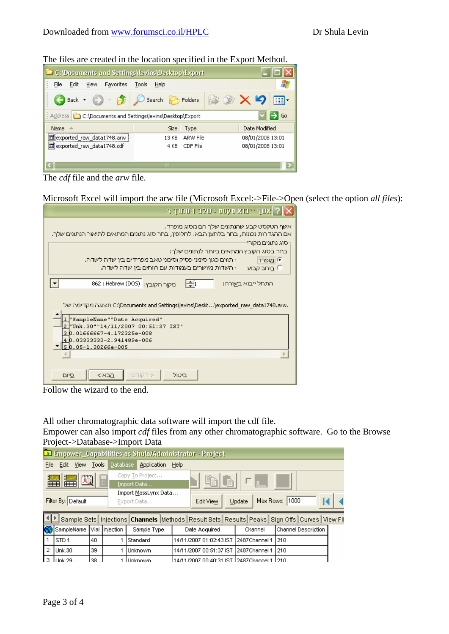| The files are created in the focation specified in the Export Niction. |                                                                                           |                  |  |  |  |  |  |  |
|------------------------------------------------------------------------|-------------------------------------------------------------------------------------------|------------------|--|--|--|--|--|--|
| C: \Documents and Settings\levins\Desktop\Export                       |                                                                                           |                  |  |  |  |  |  |  |
| File<br>Favorites<br>Edit<br><b>View</b>                               | Tools<br>Help                                                                             |                  |  |  |  |  |  |  |
| $\overline{B}$<br>Back $\star$                                         | $\ket{\mathbb{B} \mathcal{D} \times \mathcal{D}}$<br>$\bigcirc$ Search $\bigcirc$ Folders | m.               |  |  |  |  |  |  |
| Address <b>C:\Documents and Settings\levins\Desktop\Export</b>         |                                                                                           | l Go             |  |  |  |  |  |  |
| Name<br>A                                                              | Size<br>Type                                                                              | Date Modified    |  |  |  |  |  |  |
| sexported_raw_data1748.arw                                             | ARW File<br>13 KB                                                                         | 08/01/2008 13:01 |  |  |  |  |  |  |
| exported_raw_data1748.cdf                                              | CDF File<br>4 KB                                                                          | 08/01/2008 13:01 |  |  |  |  |  |  |
|                                                                        |                                                                                           |                  |  |  |  |  |  |  |
| ШI                                                                     |                                                                                           |                  |  |  |  |  |  |  |

The files are created in the location specified in the Export Method.



Microsoft Excel will import the arw file (Microsoft Excel:->File->Open (select the option *all files*):

| ?   אשף ייבוא מקסט - שלב 1 מתוך 3                                                                                                                                                                             |
|---------------------------------------------------------------------------------------------------------------------------------------------------------------------------------------------------------------|
| אשף הטקסט קבע שהנתונים שלך הם מסוג מופרד.<br>אם ההגדרות נכונות, בחר בלחצן הבא. לחלופין, בחר סוג נתונים המתאים לתיאור הנתונים שלך.                                                                             |
| ∙סוג נתונים מקורי<br>בחר בסוג הקובץ המתאים ביותר לנתונים שלך:<br>■ מופרד<br>- תווים כגון סימני פסיק וסימני טאב מפרידים בין שדה לשדה.<br>- השדות מיושרים בעמודות עם רווחים בין שדה לשדה.<br><u>C בוחב קבוע</u> |
| מקור הקובץ: Hebrew (DOS)<br>$\div 1$<br>התחל ייבוא בשורה:                                                                                                                                                     |
| .Documents and Settings\levins\Deskt\exported_raw_data1748.arw\ תצוגה מקדימה של                                                                                                                               |
| "SampleName""Date Acquired"<br>2 Unk. 30" "14/11/2007 00:51:37 IST"<br>30.01666667-4.172325e-008                                                                                                              |
| 4 0.03333333-2.941489e-006<br><u>5 b. o5-1. 30266e-005</u>                                                                                                                                                    |
|                                                                                                                                                                                                               |
| הבא><br>ביטול<br>< הקודם<br>פיום                                                                                                                                                                              |

Follow the wizard to the end.

All other chromatographic data software will import the cdf file.

Empower can also import *cdf* files from any other chromatographic software. Go to the Browse Project->Database->Import Data

|      | Enpower_Capabilities as Shula/Administrator - Project                                                 |  |       |                |                 |      |                                             |         |                                                                                                               |  |  |
|------|-------------------------------------------------------------------------------------------------------|--|-------|----------------|-----------------|------|---------------------------------------------|---------|---------------------------------------------------------------------------------------------------------------|--|--|
| File | Edit View                                                                                             |  | Tools | Database       | Application     | Help |                                             |         |                                                                                                               |  |  |
|      | Copy To Project<br>圆<br>畐<br>lie i<br><b>IE3</b><br>$\Box_{\mathbb{L}}$<br>lè<br>   田田<br>Import Data |  |       |                |                 |      |                                             |         |                                                                                                               |  |  |
|      | Import MassLynx Data<br>Max Rows: 1000<br>Filter By: Default<br>Update<br>Edit View<br>Export Data    |  |       |                |                 |      |                                             |         |                                                                                                               |  |  |
|      |                                                                                                       |  |       |                |                 |      |                                             |         | Sample Sets   Injections   Channels   Methods   Result Sets   Results   Peaks   Sign Offs   Curves   View Fil |  |  |
|      | SampleName                                                                                            |  |       | Vial Injection | Sample Type     |      | Date Acquired                               | Channel | Channel Description                                                                                           |  |  |
|      | <b>STD1</b>                                                                                           |  | 40    |                | Standard        |      | 14/11/2007 01:02:43 IST   2487Channel 1     |         | 1210                                                                                                          |  |  |
| 2    | Unk.30                                                                                                |  | 39.   |                | Unknown         |      | 14/11/2007 00:51:37 IST 12487Channel 1      |         | 210                                                                                                           |  |  |
| 3    | LLInk 29                                                                                              |  | 138.  |                | <b>Linknown</b> |      | 14/11/2007 00:40:31 IST 12487Channel 1 1210 |         |                                                                                                               |  |  |